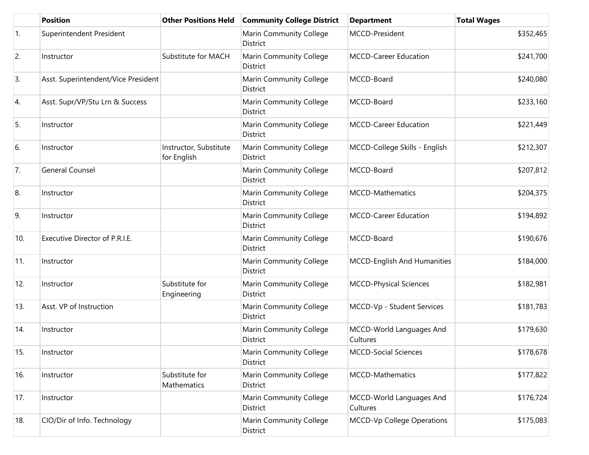|                | <b>Position</b>                     | <b>Other Positions Held</b>           | <b>Community College District</b>          | <b>Department</b>                    | <b>Total Wages</b> |
|----------------|-------------------------------------|---------------------------------------|--------------------------------------------|--------------------------------------|--------------------|
| $\mathbf{1}$ . | Superintendent President            |                                       | Marin Community College<br>District        | MCCD-President                       | \$352,465          |
| 2.             | Instructor                          | Substitute for MACH                   | Marin Community College<br>District        | <b>MCCD-Career Education</b>         | \$241,700          |
| 3.             | Asst. Superintendent/Vice President |                                       | Marin Community College<br>District        | MCCD-Board                           | \$240,080          |
| 4.             | Asst. Supr/VP/Stu Lrn & Success     |                                       | Marin Community College<br>District        | MCCD-Board                           | \$233,160          |
| 5.             | Instructor                          |                                       | Marin Community College<br>District        | <b>MCCD-Career Education</b>         | \$221,449          |
| 6.             | Instructor                          | Instructor, Substitute<br>for English | Marin Community College<br>District        | MCCD-College Skills - English        | \$212,307          |
| 7.             | <b>General Counsel</b>              |                                       | Marin Community College<br>District        | MCCD-Board                           | \$207,812          |
| 8.             | Instructor                          |                                       | Marin Community College<br>District        | MCCD-Mathematics                     | \$204,375          |
| 9.             | Instructor                          |                                       | Marin Community College<br>District        | <b>MCCD-Career Education</b>         | \$194,892          |
| 10.            | Executive Director of P.R.I.E.      |                                       | Marin Community College<br>District        | MCCD-Board                           | \$190,676          |
| 11.            | Instructor                          |                                       | Marin Community College<br>District        | MCCD-English And Humanities          | \$184,000          |
| 12.            | Instructor                          | Substitute for<br>Engineering         | Marin Community College<br>District        | <b>MCCD-Physical Sciences</b>        | \$182,981          |
| 13.            | Asst. VP of Instruction             |                                       | Marin Community College<br><b>District</b> | MCCD-Vp - Student Services           | \$181,783          |
| 14.            | Instructor                          |                                       | Marin Community College<br>District        | MCCD-World Languages And<br>Cultures | \$179,630          |
| 15.            | Instructor                          |                                       | Marin Community College<br>District        | <b>MCCD-Social Sciences</b>          | \$178,678          |
| 16.            | Instructor                          | Substitute for<br>Mathematics         | Marin Community College<br>District        | <b>MCCD-Mathematics</b>              | \$177,822          |
| 17.            | Instructor                          |                                       | Marin Community College<br>District        | MCCD-World Languages And<br>Cultures | \$176,724          |
| 18.            | CIO/Dir of Info. Technology         |                                       | Marin Community College<br>District        | MCCD-Vp College Operations           | \$175,083          |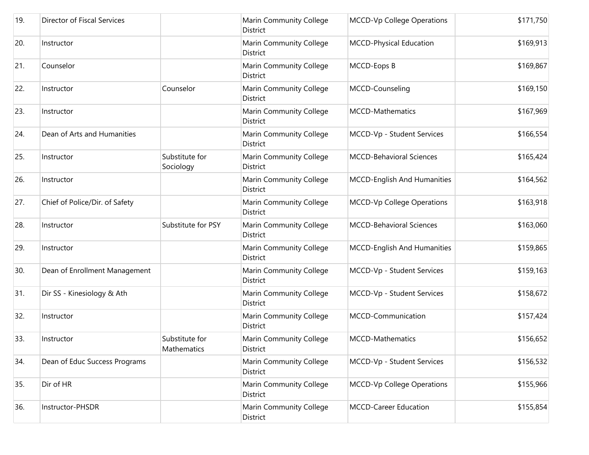| 19. | Director of Fiscal Services    |                               | Marin Community College<br>District        | <b>MCCD-Vp College Operations</b>  | \$171,750 |
|-----|--------------------------------|-------------------------------|--------------------------------------------|------------------------------------|-----------|
| 20. | Instructor                     |                               | Marin Community College<br>District        | MCCD-Physical Education            | \$169,913 |
| 21. | Counselor                      |                               | Marin Community College<br>District        | MCCD-Eops B                        | \$169,867 |
| 22. | Instructor                     | Counselor                     | Marin Community College<br>District        | MCCD-Counseling                    | \$169,150 |
| 23. | Instructor                     |                               | Marin Community College<br>District        | MCCD-Mathematics                   | \$167,969 |
| 24. | Dean of Arts and Humanities    |                               | Marin Community College<br>District        | MCCD-Vp - Student Services         | \$166,554 |
| 25. | Instructor                     | Substitute for<br>Sociology   | Marin Community College<br><b>District</b> | <b>MCCD-Behavioral Sciences</b>    | \$165,424 |
| 26. | Instructor                     |                               | Marin Community College<br>District        | <b>MCCD-English And Humanities</b> | \$164,562 |
| 27. | Chief of Police/Dir. of Safety |                               | Marin Community College<br>District        | MCCD-Vp College Operations         | \$163,918 |
| 28. | Instructor                     | Substitute for PSY            | Marin Community College<br>District        | <b>MCCD-Behavioral Sciences</b>    | \$163,060 |
| 29. | Instructor                     |                               | Marin Community College<br>District        | MCCD-English And Humanities        | \$159,865 |
| 30. | Dean of Enrollment Management  |                               | Marin Community College<br>District        | MCCD-Vp - Student Services         | \$159,163 |
| 31. | Dir SS - Kinesiology & Ath     |                               | Marin Community College<br>District        | MCCD-Vp - Student Services         | \$158,672 |
| 32. | Instructor                     |                               | Marin Community College<br>District        | MCCD-Communication                 | \$157,424 |
| 33. | Instructor                     | Substitute for<br>Mathematics | Marin Community College<br>District        | <b>MCCD-Mathematics</b>            | \$156,652 |
| 34. | Dean of Educ Success Programs  |                               | Marin Community College<br>District        | MCCD-Vp - Student Services         | \$156,532 |
| 35. | Dir of HR                      |                               | Marin Community College<br>District        | MCCD-Vp College Operations         | \$155,966 |
| 36. | Instructor-PHSDR               |                               | Marin Community College<br>District        | <b>MCCD-Career Education</b>       | \$155,854 |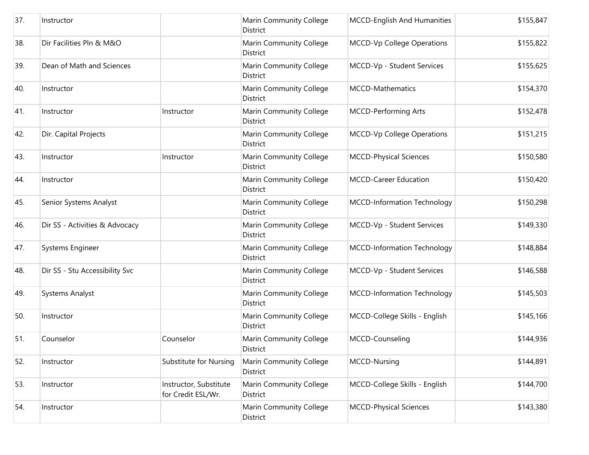| 37. | Instructor                     |                                              | Marin Community College<br>District        | <b>MCCD-English And Humanities</b> | \$155,847 |
|-----|--------------------------------|----------------------------------------------|--------------------------------------------|------------------------------------|-----------|
| 38. | Dir Facilities Pln & M&O       |                                              | Marin Community College<br><b>District</b> | MCCD-Vp College Operations         | \$155,822 |
| 39. | Dean of Math and Sciences      |                                              | Marin Community College<br>District        | MCCD-Vp - Student Services         | \$155,625 |
| 40. | Instructor                     |                                              | <b>Marin Community College</b><br>District | <b>MCCD-Mathematics</b>            | \$154,370 |
| 41. | Instructor                     | Instructor                                   | Marin Community College<br><b>District</b> | <b>MCCD-Performing Arts</b>        | \$152,478 |
| 42. | Dir. Capital Projects          |                                              | Marin Community College<br>District        | MCCD-Vp College Operations         | \$151,215 |
| 43. | Instructor                     | Instructor                                   | Marin Community College<br><b>District</b> | <b>MCCD-Physical Sciences</b>      | \$150,580 |
| 44. | Instructor                     |                                              | Marin Community College<br><b>District</b> | MCCD-Career Education              | \$150,420 |
| 45. | Senior Systems Analyst         |                                              | Marin Community College<br><b>District</b> | <b>MCCD-Information Technology</b> | \$150,298 |
| 46. | Dir SS - Activities & Advocacy |                                              | Marin Community College<br>District        | MCCD-Vp - Student Services         | \$149,330 |
| 47. | Systems Engineer               |                                              | Marin Community College<br>District        | <b>MCCD-Information Technology</b> | \$148,884 |
| 48. | Dir SS - Stu Accessibility Svc |                                              | Marin Community College<br><b>District</b> | MCCD-Vp - Student Services         | \$146,588 |
| 49. | <b>Systems Analyst</b>         |                                              | Marin Community College<br><b>District</b> | MCCD-Information Technology        | \$145,503 |
| 50. | Instructor                     |                                              | Marin Community College<br>District        | MCCD-College Skills - English      | \$145,166 |
| 51. | Counselor                      | Counselor                                    | <b>Marin Community College</b><br>District | MCCD-Counseling                    | \$144,936 |
| 52. | Instructor                     | Substitute for Nursing                       | Marin Community College<br>District        | MCCD-Nursing                       | \$144,891 |
| 53. | Instructor                     | Instructor, Substitute<br>for Credit ESL/Wr. | Marin Community College<br>District        | MCCD-College Skills - English      | \$144,700 |
| 54. | Instructor                     |                                              | Marin Community College<br>District        | <b>MCCD-Physical Sciences</b>      | \$143,380 |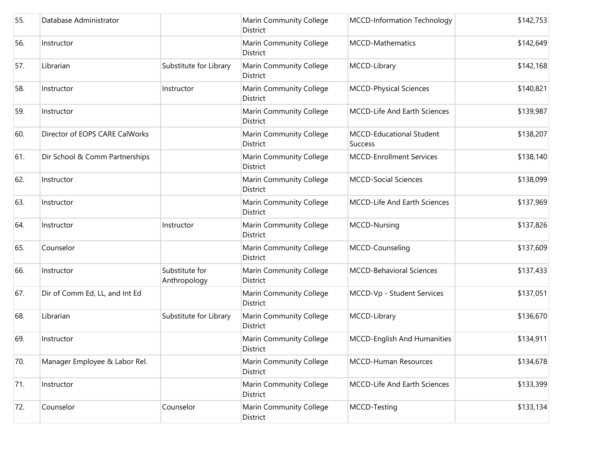| 55. | Database Administrator         |                                | Marin Community College<br>District               | <b>MCCD-Information Technology</b>         | \$142,753 |
|-----|--------------------------------|--------------------------------|---------------------------------------------------|--------------------------------------------|-----------|
| 56. | Instructor                     |                                | Marin Community College<br><b>District</b>        | <b>MCCD-Mathematics</b>                    | \$142,649 |
| 57. | Librarian                      | Substitute for Library         | Marin Community College<br>District               | MCCD-Library                               | \$142,168 |
| 58. | Instructor                     | Instructor                     | <b>Marin Community College</b><br><b>District</b> | <b>MCCD-Physical Sciences</b>              | \$140,821 |
| 59. | Instructor                     |                                | <b>Marin Community College</b><br>District        | <b>MCCD-Life And Earth Sciences</b>        | \$139,987 |
| 60. | Director of EOPS CARE CalWorks |                                | Marin Community College<br>District               | MCCD-Educational Student<br><b>Success</b> | \$138,207 |
| 61. | Dir School & Comm Partnerships |                                | Marin Community College<br>District               | <b>MCCD-Enrollment Services</b>            | \$138,140 |
| 62. | Instructor                     |                                | Marin Community College<br><b>District</b>        | <b>MCCD-Social Sciences</b>                | \$138,099 |
| 63. | Instructor                     |                                | Marin Community College<br><b>District</b>        | <b>MCCD-Life And Earth Sciences</b>        | \$137,969 |
| 64. | Instructor                     | Instructor                     | Marin Community College<br>District               | <b>MCCD-Nursing</b>                        | \$137,826 |
| 65. | Counselor                      |                                | Marin Community College<br>District               | MCCD-Counseling                            | \$137,609 |
| 66. | Instructor                     | Substitute for<br>Anthropology | Marin Community College<br>District               | <b>MCCD-Behavioral Sciences</b>            | \$137,433 |
| 67. | Dir of Comm Ed, LL, and Int Ed |                                | Marin Community College<br><b>District</b>        | MCCD-Vp - Student Services                 | \$137,051 |
| 68. | Librarian                      | Substitute for Library         | Marin Community College<br>District               | MCCD-Library                               | \$136,670 |
| 69. | Instructor                     |                                | Marin Community College<br>District               | MCCD-English And Humanities                | \$134,911 |
| 70. | Manager Employee & Labor Rel.  |                                | Marin Community College<br>District               | <b>MCCD-Human Resources</b>                | \$134,678 |
| 71. | Instructor                     |                                | Marin Community College<br>District               | <b>MCCD-Life And Earth Sciences</b>        | \$133,399 |
| 72. | Counselor                      | Counselor                      | Marin Community College<br>District               | MCCD-Testing                               | \$133,134 |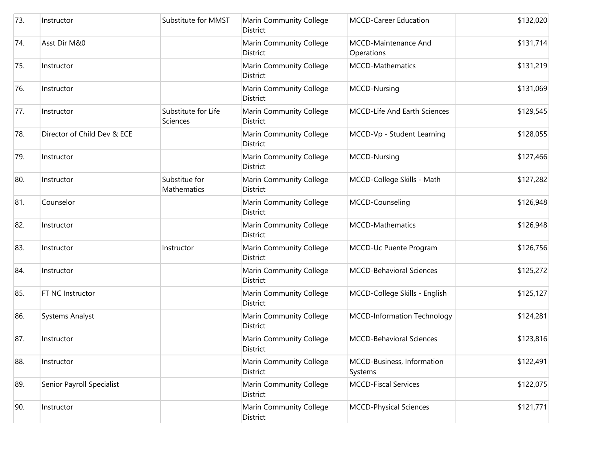| 73. | Instructor                  | Substitute for MMST                    | Marin Community College<br>District | <b>MCCD-Career Education</b>          | \$132,020 |
|-----|-----------------------------|----------------------------------------|-------------------------------------|---------------------------------------|-----------|
| 74. | Asst Dir M&0                |                                        | Marin Community College<br>District | MCCD-Maintenance And<br>Operations    | \$131,714 |
| 75. | Instructor                  |                                        | Marin Community College<br>District | MCCD-Mathematics                      | \$131,219 |
| 76. | Instructor                  |                                        | Marin Community College<br>District | MCCD-Nursing                          | \$131,069 |
| 77. | Instructor                  | Substitute for Life<br><b>Sciences</b> | Marin Community College<br>District | MCCD-Life And Earth Sciences          | \$129,545 |
| 78. | Director of Child Dev & ECE |                                        | Marin Community College<br>District | MCCD-Vp - Student Learning            | \$128,055 |
| 79. | Instructor                  |                                        | Marin Community College<br>District | MCCD-Nursing                          | \$127,466 |
| 80. | Instructor                  | Substitue for<br>Mathematics           | Marin Community College<br>District | MCCD-College Skills - Math            | \$127,282 |
| 81. | Counselor                   |                                        | Marin Community College<br>District | MCCD-Counseling                       | \$126,948 |
| 82. | Instructor                  |                                        | Marin Community College<br>District | MCCD-Mathematics                      | \$126,948 |
| 83. | Instructor                  | Instructor                             | Marin Community College<br>District | MCCD-Uc Puente Program                | \$126,756 |
| 84. | Instructor                  |                                        | Marin Community College<br>District | <b>MCCD-Behavioral Sciences</b>       | \$125,272 |
| 85. | FT NC Instructor            |                                        | Marin Community College<br>District | MCCD-College Skills - English         | \$125,127 |
| 86. | <b>Systems Analyst</b>      |                                        | Marin Community College<br>District | MCCD-Information Technology           | \$124,281 |
| 87. | Instructor                  |                                        | Marin Community College<br>District | <b>MCCD-Behavioral Sciences</b>       | \$123,816 |
| 88. | Instructor                  |                                        | Marin Community College<br>District | MCCD-Business, Information<br>Systems | \$122,491 |
| 89. | Senior Payroll Specialist   |                                        | Marin Community College<br>District | <b>MCCD-Fiscal Services</b>           | \$122,075 |
| 90. | Instructor                  |                                        | Marin Community College<br>District | <b>MCCD-Physical Sciences</b>         | \$121,771 |